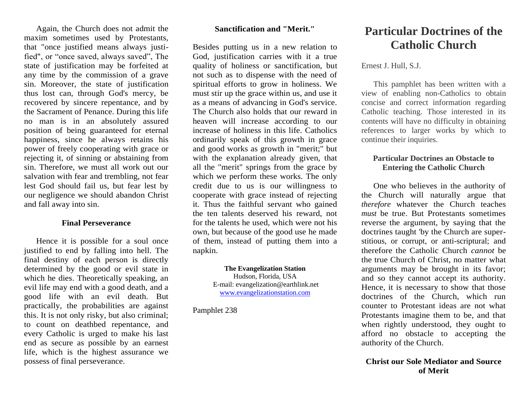Again, the Church does not admit the maxim sometimes used by Protestants, that "once justified means always justified", or "once saved, always saved", The state of justification may be forfeited at any time by the commission of a grave sin. Moreover, the state of justification thus lost can, through God's mercy, be recovered by sincere repentance, and by the Sacrament of Penance. During this life no man is in an absolutely assured position of being guaranteed for eternal happiness, since he always retains his power of freely cooperating with grace or rejecting it, of sinning or abstaining from sin. Therefore, we must all work out our salvation with fear and trembling, not fear lest God should fail us, but fear lest by our negligence we should abandon Christ and fall away into sin.

#### **Final Perseverance**

Hence it is possible for a soul once justified to end by falling into hell. The final destiny of each person is directly determined by the good or evil state in which he dies. Theoretically speaking, an evil life may end with a good death, and a good life with an evil death. But practically, the probabilities are against this. It is not only risky, but also criminal; to count on deathbed repentance, and every Catholic is urged to make his last end as secure as possible by an earnest life, which is the highest assurance we possess of final perseverance.

#### **Sanctification and "Merit."**

Besides putting us in a new relation to God, justification carries with it a true quality of holiness or sanctification, but not such as to dispense with the need of spiritual efforts to grow in holiness. We must stir up the grace within us, and use it as a means of advancing in God's service. The Church also holds that our reward in heaven will increase according to our increase of holiness in this life. Catholics ordinarily speak of this growth in grace and good works as growth in "merit;" but with the explanation already given, that all the "merit" springs from the grace by which we perform these works. The only credit due to us is our willingness to cooperate with grace instead of rejecting it. Thus the faithful servant who gained the ten talents deserved his reward, not for the talents he used, which were not his own, but because of the good use he made of them, instead of putting them into a napkin.

#### **The Evangelization Station** Hudson, Florida, USA E-mail: evangelization@earthlink.net [www.evangelizationstation.com](http://www.pjpiisoe.org/)

Pamphlet 238

# **Particular Doctrines of the Catholic Church**

Ernest J. Hull, S.J.

This pamphlet has been written with a view of enabling non-Catholics to obtain concise and correct information regarding Catholic teaching. Those interested in its contents will have no difficulty in obtaining references to larger works by which to continue their inquiries.

# **Particular Doctrines an Obstacle to Entering the Catholic Church**

One who believes in the authority of the Church will naturally argue that *therefore* whatever the Church teaches *must* be true. But Protestants sometimes reverse the argument, by saying that the doctrines taught 'by the Church are superstitious, or corrupt, or anti-scriptural; and therefore the Catholic Church *cannot* be the true Church of Christ, no matter what arguments may be brought in its favor; and so they cannot accept its authority. Hence, it is necessary to show that those doctrines of the Church, which run counter to Protestant ideas are not what Protestants imagine them to be, and that when rightly understood, they ought to afford no obstacle to accepting the authority of the Church.

# **Christ our Sole Mediator and Source of Merit**